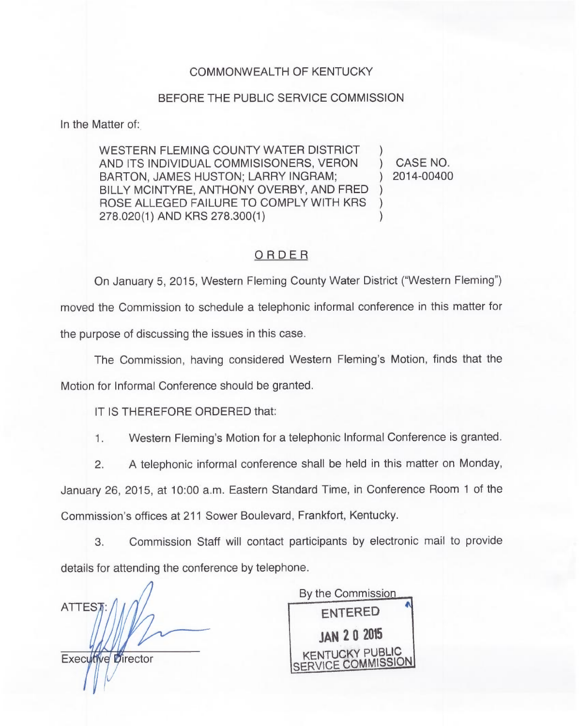## COMMONWEALTH OF KENTUCKY

## BEFORE THE PUBLIC SERVICE COMMISSION

In the Matter of:

WESTERN FLEMING COUNTY WATER DISTRICT AND ITS INDIVIDUAL COMMISISONERS, VERON BARTON, JAMES HUSTON; LARRY INGRAM; BILLY MCINTYRE, ANTHONY OVERBY, AND FRED ROSE ALLEGED FAILURE TO COMPLY WITH KRS 278.020(1) AND KRS 278.300(1)  $\overline{\phantom{a}}$  $\overline{\phantom{a}}$  $\overline{\phantom{a}}$ )

) CASE NO. ) 2014-00400

## ORDER

On January 5, 2015, Western Fleming County Water District ("Western Fleming" ) moved the Commission to schedule a telephonic informal conference in this matter for the purpose of discussing the issues in this case.

The Commission, having considered Western Fleming's Motion, finds that the

Motion for Informal Conference should be granted.

IT IS THEREFORE ORDERED that:

1. Western Fleming's Motion for a telephonic Informal Conference is granted.

2. A telephonic informal conference shall be held in this matter on Monday,

Commission's offices at 211 Sower Boulevard, Frankfort, Kentucky. January 26, 2015, at 10:00 a.m. Eastern Standard Time, in Conference Room <sup>1</sup> of the

3. Commission Staff will contact participants by electronic mail to provide details for attending the conference by telephone.

**ATTEST** 

By the Commission ENTERED **JAN 20 2015** KENTUCKY PUBLIC SERVICE COMMISSION

**Executive Director**